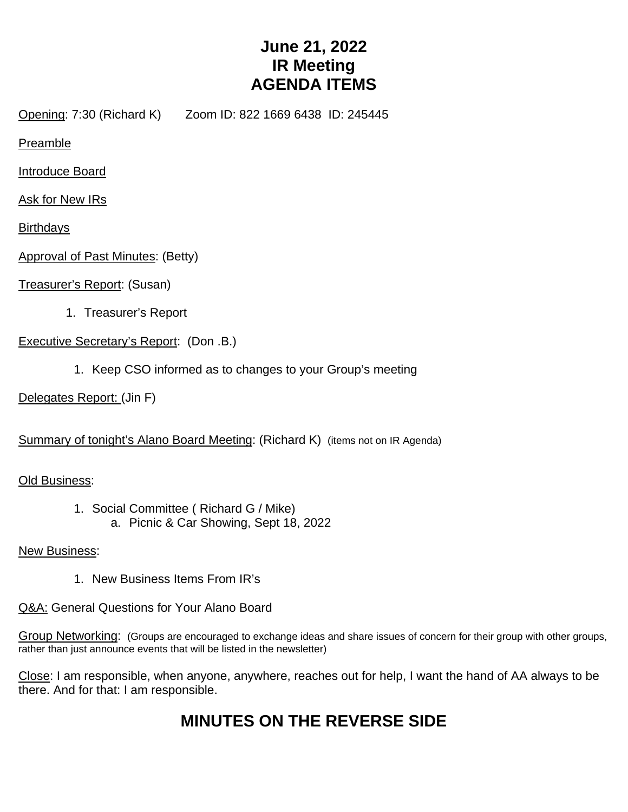## **June 21, 2022 IR Meeting AGENDA ITEMS**

Opening: 7:30 (Richard K) Zoom ID: 822 1669 6438 ID: 245445

Preamble

Introduce Board

Ask for New IRs

**Birthdays** 

Approval of Past Minutes: (Betty)

Treasurer's Report: (Susan)

1. Treasurer's Report

Executive Secretary's Report: (Don .B.)

1. Keep CSO informed as to changes to your Group's meeting

Delegates Report: (Jin F)

Summary of tonight's Alano Board Meeting: (Richard K) (items not on IR Agenda)

Old Business:

1. Social Committee ( Richard G / Mike) a. Picnic & Car Showing, Sept 18, 2022

New Business:

1. New Business Items From IR's

Q&A: General Questions for Your Alano Board

Group Networking: (Groups are encouraged to exchange ideas and share issues of concern for their group with other groups, rather than just announce events that will be listed in the newsletter)

Close: I am responsible, when anyone, anywhere, reaches out for help, I want the hand of AA always to be there. And for that: I am responsible.

# **MINUTES ON THE REVERSE SIDE**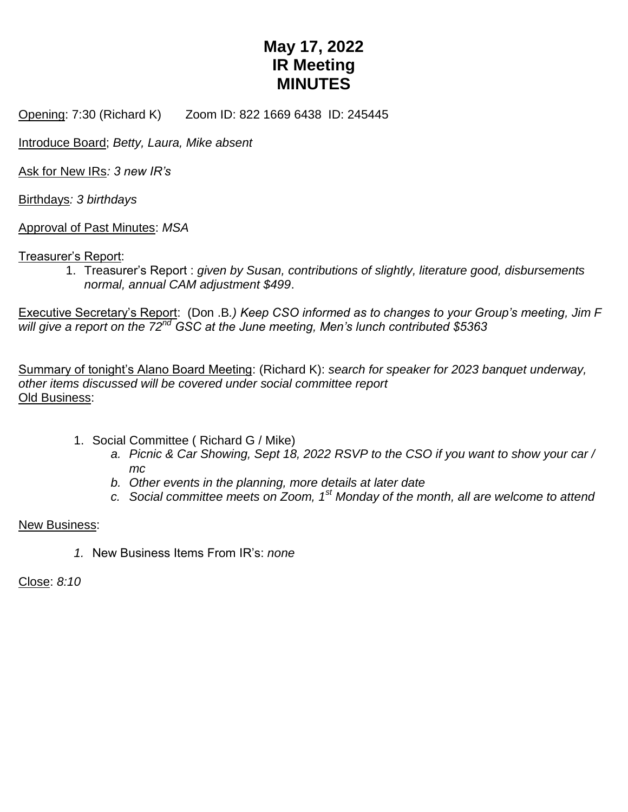## **May 17, 2022 IR Meeting MINUTES**

Opening: 7:30 (Richard K) Zoom ID: 822 1669 6438 ID: 245445

Introduce Board; *Betty, Laura, Mike absent*

Ask for New IRs*: 3 new IR's*

Birthdays*: 3 birthdays*

Approval of Past Minutes: *MSA*

#### Treasurer's Report:

1. Treasurer's Report : *given by Susan, contributions of slightly, literature good, disbursements normal, annual CAM adjustment \$499*.

Executive Secretary's Report: (Don .B*.) Keep CSO informed as to changes to your Group's meeting, Jim F will give a report on the 72nd GSC at the June meeting, Men's lunch contributed \$5363*

Summary of tonight's Alano Board Meeting: (Richard K): *search for speaker for 2023 banquet underway, other items discussed will be covered under social committee report* Old Business:

- 1. Social Committee ( Richard G / Mike)
	- *a. Picnic & Car Showing, Sept 18, 2022 RSVP to the CSO if you want to show your car / mc*
	- *b. Other events in the planning, more details at later date*
	- *c. Social committee meets on Zoom, 1st Monday of the month, all are welcome to attend*

#### New Business:

*1.* New Business Items From IR's: *none*

Close: *8:10*